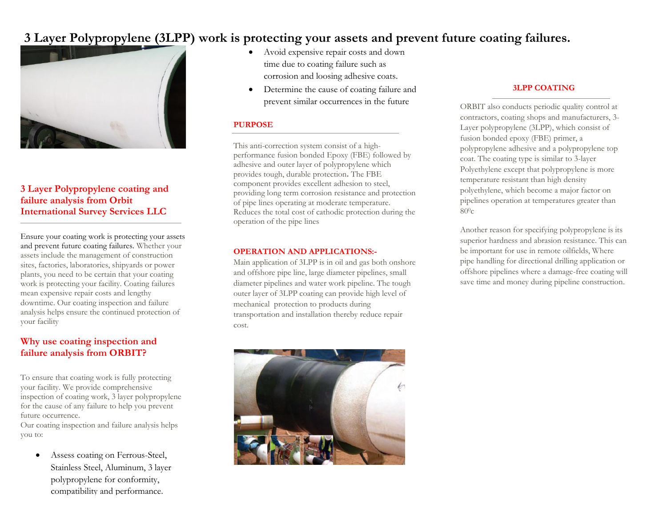# **3 Layer Polypropylene (3LPP) work is protecting your assets and prevent future coating failures.**



# **3 Layer Polypropylene coating and failure analysis from Orbit International Survey Services LLC**

Ensure your coating work is protecting your assets and prevent future coating failures. Whether your assets include the management of construction sites, factories, laboratories, shipyards or power plants, you need to be certain that your coating work is protecting your facility. Coating failures mean expensive repair costs and lengthy downtime. Our coating inspection and failure analysis helps ensure the continued protection of your facility

# **Why use coating inspection and failure analysis from ORBIT?**

To ensure that coating work is fully protecting your facility. We provide comprehensive inspection of coating work, 3 layer polypropylene for the cause of any failure to help you prevent future occurrence.

Our coating inspection and failure analysis helps you to:

• Assess coating on Ferrous-Steel, Stainless Steel, Aluminum, 3 layer polypropylene for conformity, compatibility and performance.

- Avoid expensive repair costs and down time due to coating failure such as corrosion and loosing adhesive coats.
- Determine the cause of coating failure and prevent similar occurrences in the future

### **PURPOSE**

This anti-correction system consist of a highperformance fusion bonded Epoxy (FBE) followed by adhesive and outer layer of polypropylene which provides tough, durable protection**.** The FBE component provides excellent adhesion to steel, providing long term corrosion resistance and protection of pipe lines operating at moderate temperature. Reduces the total cost of cathodic protection during the operation of the pipe lines

#### **OPERATION AND APPLICATIONS:-**

Main application of 3LPP is in oil and gas both onshore and offshore pipe line, large diameter pipelines, small diameter pipelines and water work pipeline. The tough outer layer of 3LPP coating can provide high level of mechanical protection to products during transportation and installation thereby reduce repair cost.



# **3LPP COATING**

ORBIT also conducts periodic quality control at contractors, coating shops and manufacturers, 3- Layer polypropylene (3LPP), which consist of fusion bonded epoxy (FBE) primer, a polypropylene adhesive and a polypropylene top coat. The coating type is similar to 3-layer Polyethylene except that polypropylene is more temperature resistant than high density polyethylene, which become a major factor on pipelines operation at temperatures greater than  $80^{\circ}$ c

Another reason for specifying polypropylene is its superior hardness and abrasion resistance. This can be important for use in remote oilfields, Where pipe handling for directional drilling application or offshore pipelines where a damage-free coating will save time and money during pipeline construction.